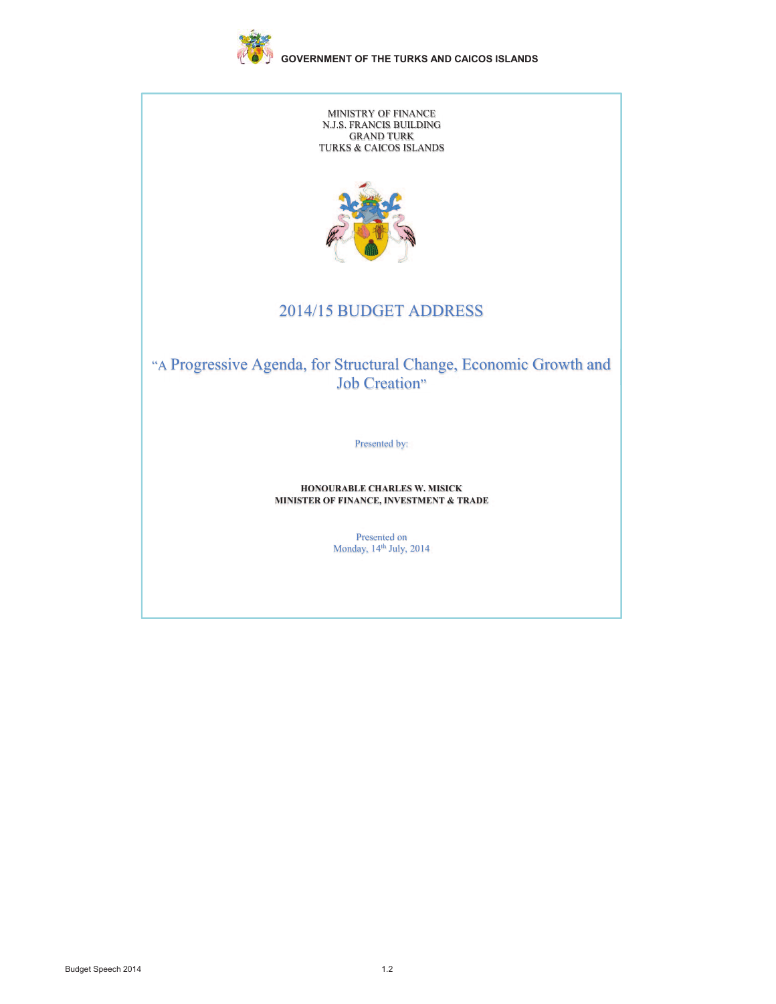

MINISTRY OF FINANCE N.J.S. FRANCIS BUILDING GRAND TURK TURKS & CAICOS ISLANDS



# 2014/15 BUDGET ADDRESS

"A Progressive Agenda, for Structural Change, Economic Growth and Job Creation"

Presented by:

#### **HONOURABLE CHARLES W. MISICK MINISTER OF FINANCE, INVESTMENT & TRADE**

Presented on Monday, 14 sented  $, 14<sup>th</sup>$ sented on th July, 2014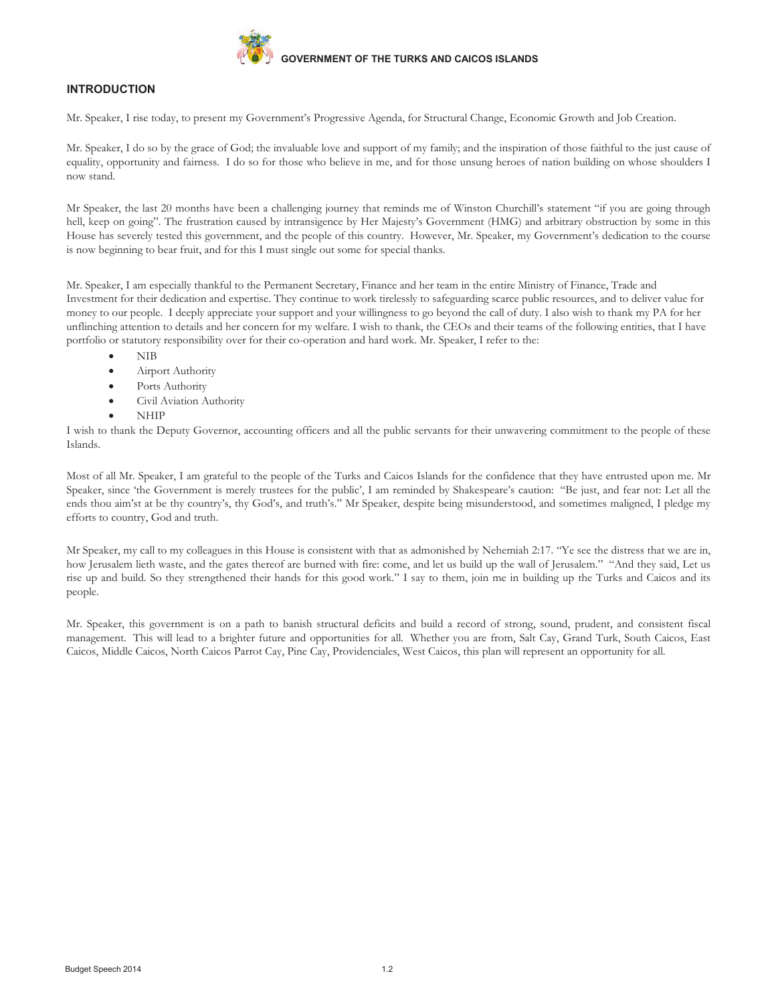

# **INTRODUCTION**

Mr. Speaker, I rise today, to present my Government's Progressive Agenda, for Structural Change, Economic Growth and Job Creation.

Mr. Speaker, I do so by the grace of God; the invaluable love and support of my family; and the inspiration of those faithful to the just cause of equality, opportunity and fairness. I do so for those who believe in me, and for those unsung heroes of nation building on whose shoulders I now stand.

Mr Speaker, the last 20 months have been a challenging journey that reminds me of Winston Churchill's statement "if you are going through hell, keep on going". The frustration caused by intransigence by Her Majesty's Government (HMG) and arbitrary obstruction by some in this House has severely tested this government, and the people of this country. However, Mr. Speaker, my Government's dedication to the course is now beginning to bear fruit, and for this I must single out some for special thanks.

Mr. Speaker, I am especially thankful to the Permanent Secretary, Finance and her team in the entire Ministry of Finance, Trade and Investment for their dedication and expertise. They continue to work tirelessly to safeguarding scarce public resources, and to deliver value for money to our people. I deeply appreciate your support and your willingness to go beyond the call of duty. I also wish to thank my PA for her unflinching attention to details and her concern for my welfare. I wish to thank, the CEOs and their teams of the following entities, that I have portfolio or statutory responsibility over for their co-operation and hard work. Mr. Speaker, I refer to the:

- · NIB
- Airport Authority
- Ports Authority
- Civil Aviation Authority
- · NHIP

I wish to thank the Deputy Governor, accounting officers and all the public servants for their unwavering commitment to the people of these Islands.

Most of all Mr. Speaker, I am grateful to the people of the Turks and Caicos Islands for the confidence that they have entrusted upon me. Mr Speaker, since 'the Government is merely trustees for the public', I am reminded by Shakespeare's caution: "Be just, and fear not: Let all the ends thou aim'st at be thy country's, thy God's, and truth's." Mr Speaker, despite being misunderstood, and sometimes maligned, I pledge my efforts to country, God and truth.

Mr Speaker, my call to my colleagues in this House is consistent with that as admonished by Nehemiah 2:17. "Ye see the distress that we are in, how Jerusalem lieth waste, and the gates thereof are burned with fire: come, and let us build up the wall of Jerusalem." "And they said, Let us rise up and build. So they strengthened their hands for this good work." I say to them, join me in building up the Turks and Caicos and its people.

Mr. Speaker, this government is on a path to banish structural deficits and build a record of strong, sound, prudent, and consistent fiscal management. This will lead to a brighter future and opportunities for all. Whether you are from, Salt Cay, Grand Turk, South Caicos, East Caicos, Middle Caicos, North Caicos Parrot Cay, Pine Cay, Providenciales, West Caicos, this plan will represent an opportunity for all.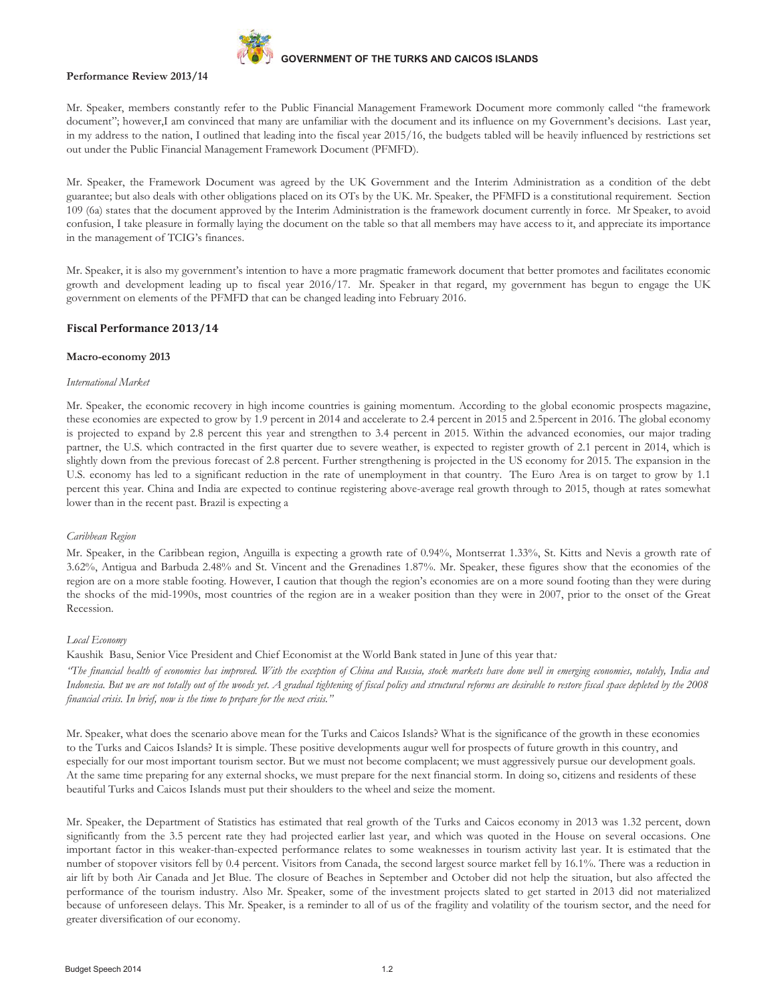

#### **Performance Review 2013/14**

Mr. Speaker, members constantly refer to the Public Financial Management Framework Document more commonly called "the framework document"; however,I am convinced that many are unfamiliar with the document and its influence on my Government's decisions. Last year, in my address to the nation, I outlined that leading into the fiscal year 2015/16, the budgets tabled will be heavily influenced by restrictions set out under the Public Financial Management Framework Document (PFMFD).

Mr. Speaker, the Framework Document was agreed by the UK Government and the Interim Administration as a condition of the debt guarantee; but also deals with other obligations placed on its OTs by the UK. Mr. Speaker, the PFMFD is a constitutional requirement. Section 109 (6a) states that the document approved by the Interim Administration is the framework document currently in force. Mr Speaker, to avoid confusion, I take pleasure in formally laying the document on the table so that all members may have access to it, and appreciate its importance in the management of TCIG's finances.

Mr. Speaker, it is also my government's intention to have a more pragmatic framework document that better promotes and facilitates economic growth and development leading up to fiscal year 2016/17. Mr. Speaker in that regard, my government has begun to engage the UK government on elements of the PFMFD that can be changed leading into February 2016.

# **Fiscal Performance 2013/14**

#### **Macro-economy 2013**

#### *International Market*

Mr. Speaker, the economic recovery in high income countries is gaining momentum. According to the global economic prospects magazine, these economies are expected to grow by 1.9 percent in 2014 and accelerate to 2.4 percent in 2015 and 2.5percent in 2016. The global economy is projected to expand by 2.8 percent this year and strengthen to 3.4 percent in 2015. Within the advanced economies, our major trading partner, the U.S. which contracted in the first quarter due to severe weather, is expected to register growth of 2.1 percent in 2014, which is slightly down from the previous forecast of 2.8 percent. Further strengthening is projected in the US economy for 2015. The expansion in the U.S. economy has led to a significant reduction in the rate of unemployment in that country. The Euro Area is on target to grow by 1.1 percent this year. China and India are expected to continue registering above-average real growth through to 2015, though at rates somewhat lower than in the recent past. Brazil is expecting a

#### *Caribbean Region*

Mr. Speaker, in the Caribbean region, Anguilla is expecting a growth rate of 0.94%, Montserrat 1.33%, St. Kitts and Nevis a growth rate of 3.62%, Antigua and Barbuda 2.48% and St. Vincent and the Grenadines 1.87%. Mr. Speaker, these figures show that the economies of the region are on a more stable footing. However, I caution that though the region's economies are on a more sound footing than they were during the shocks of the mid-1990s, most countries of the region are in a weaker position than they were in 2007, prior to the onset of the Great Recession.

#### *Local Economy*

Kaushik Basu, Senior Vice President and Chief Economist at the World Bank stated in June of this year that*:* 

*"The financial health of economies has improved. With the exception of China and Russia, stock markets have done well in emerging economies, notably, India and Indonesia. But we are not totally out of the woods yet. A gradual tightening of fiscal policy and structural reforms are desirable to restore fiscal space depleted by the 2008 financial crisis. In brief, now is the time to prepare for the next crisis."* 

Mr. Speaker, what does the scenario above mean for the Turks and Caicos Islands? What is the significance of the growth in these economies to the Turks and Caicos Islands? It is simple. These positive developments augur well for prospects of future growth in this country, and especially for our most important tourism sector. But we must not become complacent; we must aggressively pursue our development goals. At the same time preparing for any external shocks, we must prepare for the next financial storm. In doing so, citizens and residents of these beautiful Turks and Caicos Islands must put their shoulders to the wheel and seize the moment.

Mr. Speaker, the Department of Statistics has estimated that real growth of the Turks and Caicos economy in 2013 was 1.32 percent, down significantly from the 3.5 percent rate they had projected earlier last year, and which was quoted in the House on several occasions. One important factor in this weaker-than-expected performance relates to some weaknesses in tourism activity last year. It is estimated that the number of stopover visitors fell by 0.4 percent. Visitors from Canada, the second largest source market fell by 16.1%. There was a reduction in air lift by both Air Canada and Jet Blue. The closure of Beaches in September and October did not help the situation, but also affected the performance of the tourism industry. Also Mr. Speaker, some of the investment projects slated to get started in 2013 did not materialized because of unforeseen delays. This Mr. Speaker, is a reminder to all of us of the fragility and volatility of the tourism sector, and the need for greater diversification of our economy.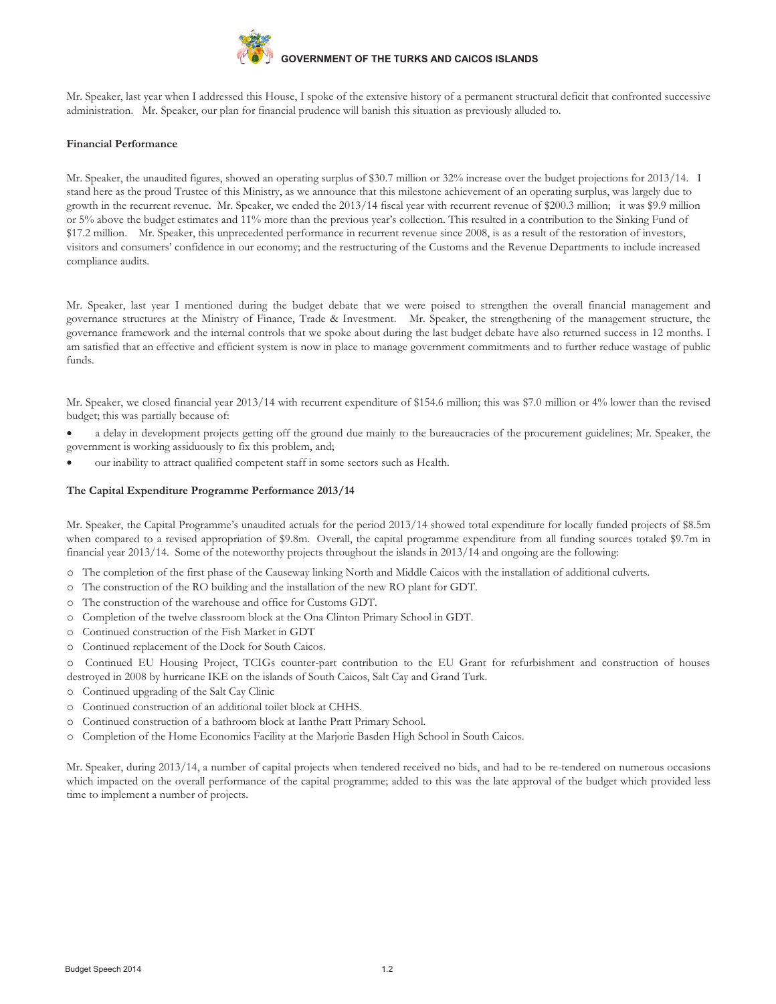

Mr. Speaker, last year when I addressed this House, I spoke of the extensive history of a permanent structural deficit that confronted successive administration. Mr. Speaker, our plan for financial prudence will banish this situation as previously alluded to.

## **Financial Performance**

Mr. Speaker, the unaudited figures, showed an operating surplus of \$30.7 million or 32% increase over the budget projections for 2013/14. I stand here as the proud Trustee of this Ministry, as we announce that this milestone achievement of an operating surplus, was largely due to growth in the recurrent revenue. Mr. Speaker, we ended the 2013/14 fiscal year with recurrent revenue of \$200.3 million; it was \$9.9 million or 5% above the budget estimates and 11% more than the previous year's collection. This resulted in a contribution to the Sinking Fund of \$17.2 million. Mr. Speaker, this unprecedented performance in recurrent revenue since 2008, is as a result of the restoration of investors, visitors and consumers' confidence in our economy; and the restructuring of the Customs and the Revenue Departments to include increased compliance audits.

Mr. Speaker, last year I mentioned during the budget debate that we were poised to strengthen the overall financial management and governance structures at the Ministry of Finance, Trade & Investment. Mr. Speaker, the strengthening of the management structure, the governance framework and the internal controls that we spoke about during the last budget debate have also returned success in 12 months. I am satisfied that an effective and efficient system is now in place to manage government commitments and to further reduce wastage of public funds.

Mr. Speaker, we closed financial year 2013/14 with recurrent expenditure of \$154.6 million; this was \$7.0 million or 4% lower than the revised budget; this was partially because of:

- a delay in development projects getting off the ground due mainly to the bureaucracies of the procurement guidelines; Mr. Speaker, the government is working assiduously to fix this problem, and;
- our inability to attract qualified competent staff in some sectors such as Health.

# **The Capital Expenditure Programme Performance 2013/14**

Mr. Speaker, the Capital Programme's unaudited actuals for the period 2013/14 showed total expenditure for locally funded projects of \$8.5m when compared to a revised appropriation of \$9.8m. Overall, the capital programme expenditure from all funding sources totaled \$9.7m in financial year 2013/14. Some of the noteworthy projects throughout the islands in 2013/14 and ongoing are the following:

- o The completion of the first phase of the Causeway linking North and Middle Caicos with the installation of additional culverts.
- o The construction of the RO building and the installation of the new RO plant for GDT.
- o The construction of the warehouse and office for Customs GDT.
- o Completion of the twelve classroom block at the Ona Clinton Primary School in GDT.
- o Continued construction of the Fish Market in GDT
- o Continued replacement of the Dock for South Caicos.

o Continued EU Housing Project, TCIGs counter-part contribution to the EU Grant for refurbishment and construction of houses destroyed in 2008 by hurricane IKE on the islands of South Caicos, Salt Cay and Grand Turk.

- o Continued upgrading of the Salt Cay Clinic
- o Continued construction of an additional toilet block at CHHS.
- o Continued construction of a bathroom block at Ianthe Pratt Primary School.
- o Completion of the Home Economics Facility at the Marjorie Basden High School in South Caicos.

Mr. Speaker, during 2013/14, a number of capital projects when tendered received no bids, and had to be re-tendered on numerous occasions which impacted on the overall performance of the capital programme; added to this was the late approval of the budget which provided less time to implement a number of projects.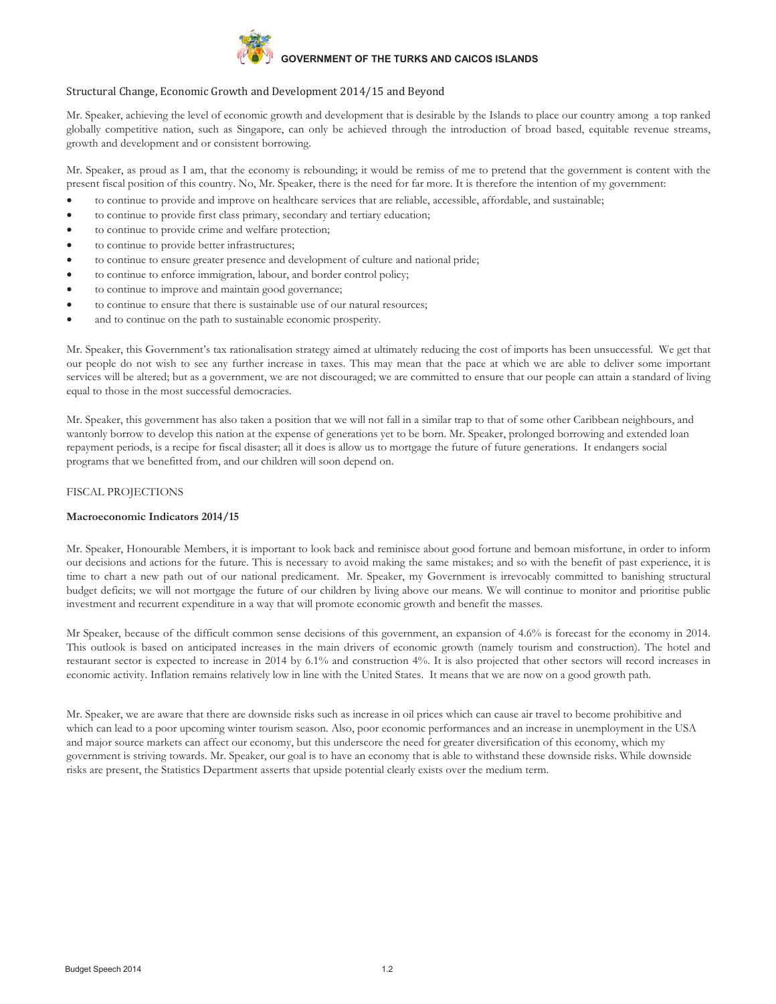

# Structural Change, Economic Growth and Development 2014/15 and Beyond

Mr. Speaker, achieving the level of economic growth and development that is desirable by the Islands to place our country among a top ranked globally competitive nation, such as Singapore, can only be achieved through the introduction of broad based, equitable revenue streams, growth and development and or consistent borrowing.

Mr. Speaker, as proud as I am, that the economy is rebounding; it would be remiss of me to pretend that the government is content with the present fiscal position of this country. No, Mr. Speaker, there is the need for far more. It is therefore the intention of my government:

- to continue to provide and improve on healthcare services that are reliable, accessible, affordable, and sustainable;
- to continue to provide first class primary, secondary and tertiary education;
- to continue to provide crime and welfare protection;
- to continue to provide better infrastructures;
- to continue to ensure greater presence and development of culture and national pride;
- to continue to enforce immigration, labour, and border control policy;
- to continue to improve and maintain good governance;
- to continue to ensure that there is sustainable use of our natural resources;
- and to continue on the path to sustainable economic prosperity.

Mr. Speaker, this Government's tax rationalisation strategy aimed at ultimately reducing the cost of imports has been unsuccessful. We get that our people do not wish to see any further increase in taxes. This may mean that the pace at which we are able to deliver some important services will be altered; but as a government, we are not discouraged; we are committed to ensure that our people can attain a standard of living equal to those in the most successful democracies.

Mr. Speaker, this government has also taken a position that we will not fall in a similar trap to that of some other Caribbean neighbours, and wantonly borrow to develop this nation at the expense of generations yet to be born. Mr. Speaker, prolonged borrowing and extended loan repayment periods, is a recipe for fiscal disaster; all it does is allow us to mortgage the future of future generations. It endangers social programs that we benefitted from, and our children will soon depend on.

# FISCAL PROJECTIONS

#### **Macroeconomic Indicators 2014/15**

Mr. Speaker, Honourable Members, it is important to look back and reminisce about good fortune and bemoan misfortune, in order to inform our decisions and actions for the future. This is necessary to avoid making the same mistakes; and so with the benefit of past experience, it is time to chart a new path out of our national predicament. Mr. Speaker, my Government is irrevocably committed to banishing structural budget deficits; we will not mortgage the future of our children by living above our means. We will continue to monitor and prioritise public investment and recurrent expenditure in a way that will promote economic growth and benefit the masses.

Mr Speaker, because of the difficult common sense decisions of this government, an expansion of 4.6% is forecast for the economy in 2014. This outlook is based on anticipated increases in the main drivers of economic growth (namely tourism and construction). The hotel and restaurant sector is expected to increase in 2014 by 6.1% and construction 4%. It is also projected that other sectors will record increases in economic activity. Inflation remains relatively low in line with the United States. It means that we are now on a good growth path.

Mr. Speaker, we are aware that there are downside risks such as increase in oil prices which can cause air travel to become prohibitive and which can lead to a poor upcoming winter tourism season. Also, poor economic performances and an increase in unemployment in the USA and major source markets can affect our economy, but this underscore the need for greater diversification of this economy, which my government is striving towards. Mr. Speaker, our goal is to have an economy that is able to withstand these downside risks. While downside risks are present, the Statistics Department asserts that upside potential clearly exists over the medium term.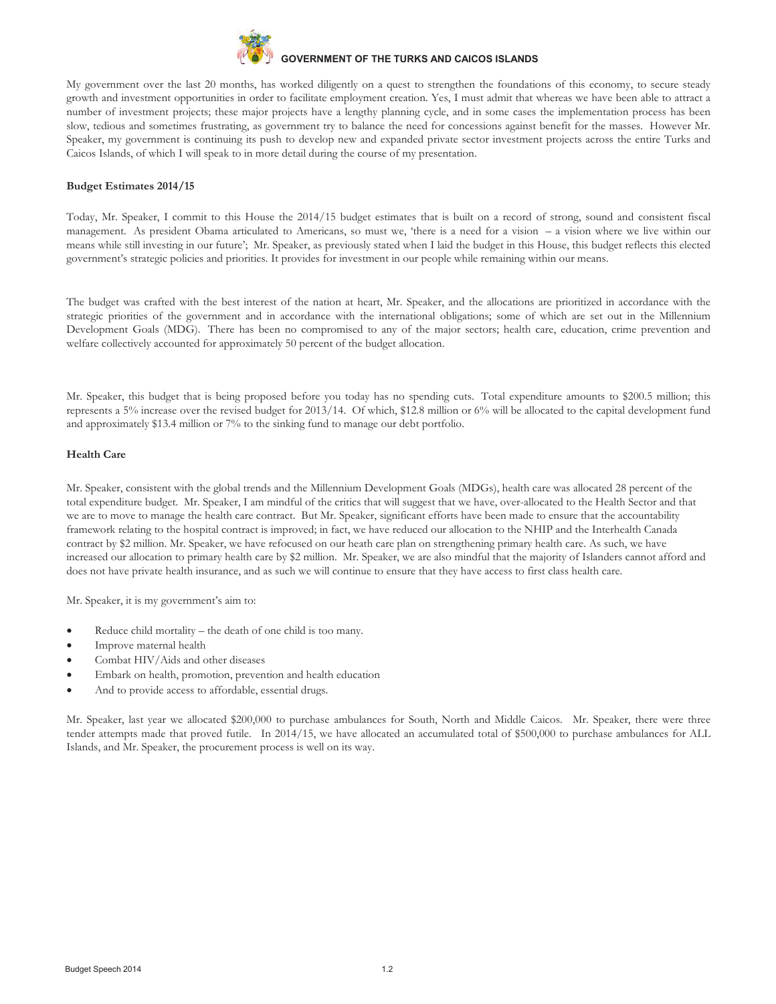

My government over the last 20 months, has worked diligently on a quest to strengthen the foundations of this economy, to secure steady growth and investment opportunities in order to facilitate employment creation. Yes, I must admit that whereas we have been able to attract a number of investment projects; these major projects have a lengthy planning cycle, and in some cases the implementation process has been slow, tedious and sometimes frustrating, as government try to balance the need for concessions against benefit for the masses. However Mr. Speaker, my government is continuing its push to develop new and expanded private sector investment projects across the entire Turks and Caicos Islands, of which I will speak to in more detail during the course of my presentation.

#### **Budget Estimates 2014/15**

Today, Mr. Speaker, I commit to this House the 2014/15 budget estimates that is built on a record of strong, sound and consistent fiscal management. As president Obama articulated to Americans, so must we, 'there is a need for a vision – a vision where we live within our means while still investing in our future'; Mr. Speaker, as previously stated when I laid the budget in this House, this budget reflects this elected government's strategic policies and priorities. It provides for investment in our people while remaining within our means.

The budget was crafted with the best interest of the nation at heart, Mr. Speaker, and the allocations are prioritized in accordance with the strategic priorities of the government and in accordance with the international obligations; some of which are set out in the Millennium Development Goals (MDG). There has been no compromised to any of the major sectors; health care, education, crime prevention and welfare collectively accounted for approximately 50 percent of the budget allocation.

Mr. Speaker, this budget that is being proposed before you today has no spending cuts. Total expenditure amounts to \$200.5 million; this represents a 5% increase over the revised budget for 2013/14. Of which, \$12.8 million or 6% will be allocated to the capital development fund and approximately \$13.4 million or 7% to the sinking fund to manage our debt portfolio.

#### **Health Care**

Mr. Speaker, consistent with the global trends and the Millennium Development Goals (MDGs), health care was allocated 28 percent of the total expenditure budget. Mr. Speaker, I am mindful of the critics that will suggest that we have, over-allocated to the Health Sector and that we are to move to manage the health care contract. But Mr. Speaker, significant efforts have been made to ensure that the accountability framework relating to the hospital contract is improved; in fact, we have reduced our allocation to the NHIP and the Interhealth Canada contract by \$2 million. Mr. Speaker, we have refocused on our heath care plan on strengthening primary health care. As such, we have increased our allocation to primary health care by \$2 million. Mr. Speaker, we are also mindful that the majority of Islanders cannot afford and does not have private health insurance, and as such we will continue to ensure that they have access to first class health care.

Mr. Speaker, it is my government's aim to:

- Reduce child mortality the death of one child is too many.
- Improve maternal health
- Combat HIV/Aids and other diseases
- Embark on health, promotion, prevention and health education
- And to provide access to affordable, essential drugs.

Mr. Speaker, last year we allocated \$200,000 to purchase ambulances for South, North and Middle Caicos. Mr. Speaker, there were three tender attempts made that proved futile. In 2014/15, we have allocated an accumulated total of \$500,000 to purchase ambulances for ALL Islands, and Mr. Speaker, the procurement process is well on its way.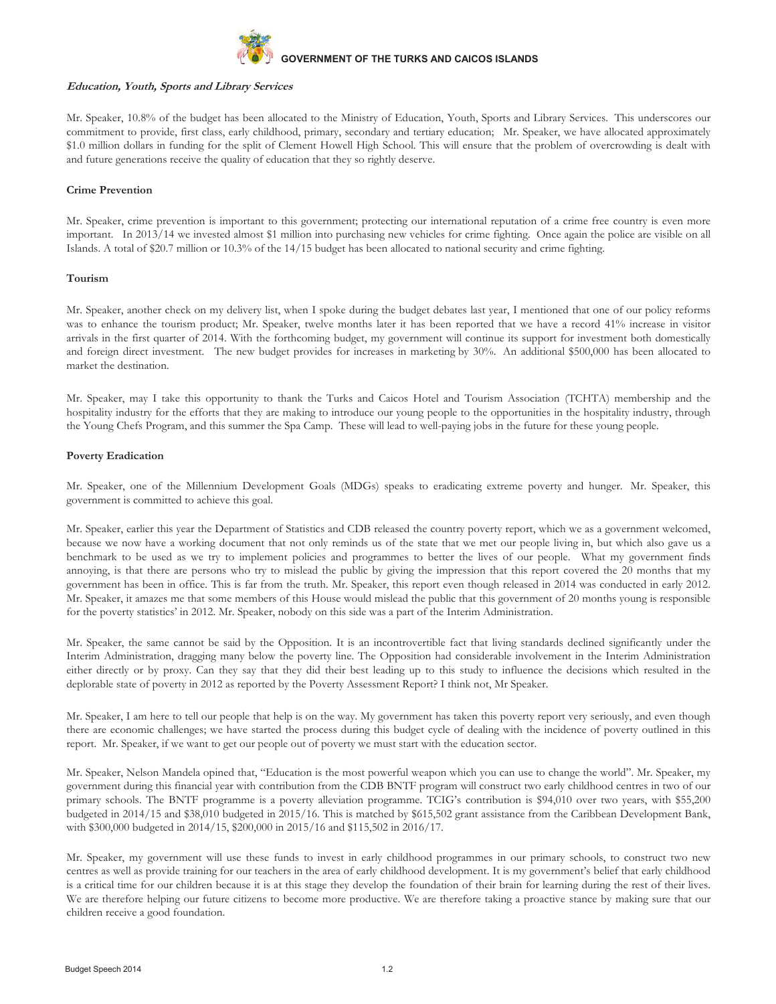

#### **Education, Youth, Sports and Library Services**

Mr. Speaker, 10.8% of the budget has been allocated to the Ministry of Education, Youth, Sports and Library Services. This underscores our commitment to provide, first class, early childhood, primary, secondary and tertiary education; Mr. Speaker, we have allocated approximately \$1.0 million dollars in funding for the split of Clement Howell High School. This will ensure that the problem of overcrowding is dealt with and future generations receive the quality of education that they so rightly deserve.

#### **Crime Prevention**

Mr. Speaker, crime prevention is important to this government; protecting our international reputation of a crime free country is even more important. In 2013/14 we invested almost \$1 million into purchasing new vehicles for crime fighting. Once again the police are visible on all Islands. A total of \$20.7 million or 10.3% of the 14/15 budget has been allocated to national security and crime fighting.

#### **Tourism**

Mr. Speaker, another check on my delivery list, when I spoke during the budget debates last year, I mentioned that one of our policy reforms was to enhance the tourism product; Mr. Speaker, twelve months later it has been reported that we have a record 41% increase in visitor arrivals in the first quarter of 2014. With the forthcoming budget, my government will continue its support for investment both domestically and foreign direct investment. The new budget provides for increases in marketing by 30%. An additional \$500,000 has been allocated to market the destination.

Mr. Speaker, may I take this opportunity to thank the Turks and Caicos Hotel and Tourism Association (TCHTA) membership and the hospitality industry for the efforts that they are making to introduce our young people to the opportunities in the hospitality industry, through the Young Chefs Program, and this summer the Spa Camp. These will lead to well-paying jobs in the future for these young people.

#### **Poverty Eradication**

Mr. Speaker, one of the Millennium Development Goals (MDGs) speaks to eradicating extreme poverty and hunger. Mr. Speaker, this government is committed to achieve this goal.

Mr. Speaker, earlier this year the Department of Statistics and CDB released the country poverty report, which we as a government welcomed, because we now have a working document that not only reminds us of the state that we met our people living in, but which also gave us a benchmark to be used as we try to implement policies and programmes to better the lives of our people. What my government finds annoying, is that there are persons who try to mislead the public by giving the impression that this report covered the 20 months that my government has been in office. This is far from the truth. Mr. Speaker, this report even though released in 2014 was conducted in early 2012. Mr. Speaker, it amazes me that some members of this House would mislead the public that this government of 20 months young is responsible for the poverty statistics' in 2012. Mr. Speaker, nobody on this side was a part of the Interim Administration.

Mr. Speaker, the same cannot be said by the Opposition. It is an incontrovertible fact that living standards declined significantly under the Interim Administration, dragging many below the poverty line. The Opposition had considerable involvement in the Interim Administration either directly or by proxy. Can they say that they did their best leading up to this study to influence the decisions which resulted in the deplorable state of poverty in 2012 as reported by the Poverty Assessment Report? I think not, Mr Speaker.

Mr. Speaker, I am here to tell our people that help is on the way. My government has taken this poverty report very seriously, and even though there are economic challenges; we have started the process during this budget cycle of dealing with the incidence of poverty outlined in this report. Mr. Speaker, if we want to get our people out of poverty we must start with the education sector.

Mr. Speaker, Nelson Mandela opined that, "Education is the most powerful weapon which you can use to change the world". Mr. Speaker, my government during this financial year with contribution from the CDB BNTF program will construct two early childhood centres in two of our primary schools. The BNTF programme is a poverty alleviation programme. TCIG's contribution is \$94,010 over two years, with \$55,200 budgeted in 2014/15 and \$38,010 budgeted in 2015/16. This is matched by \$615,502 grant assistance from the Caribbean Development Bank, with \$300,000 budgeted in 2014/15, \$200,000 in 2015/16 and \$115,502 in 2016/17.

Mr. Speaker, my government will use these funds to invest in early childhood programmes in our primary schools, to construct two new centres as well as provide training for our teachers in the area of early childhood development. It is my government's belief that early childhood is a critical time for our children because it is at this stage they develop the foundation of their brain for learning during the rest of their lives. We are therefore helping our future citizens to become more productive. We are therefore taking a proactive stance by making sure that our children receive a good foundation.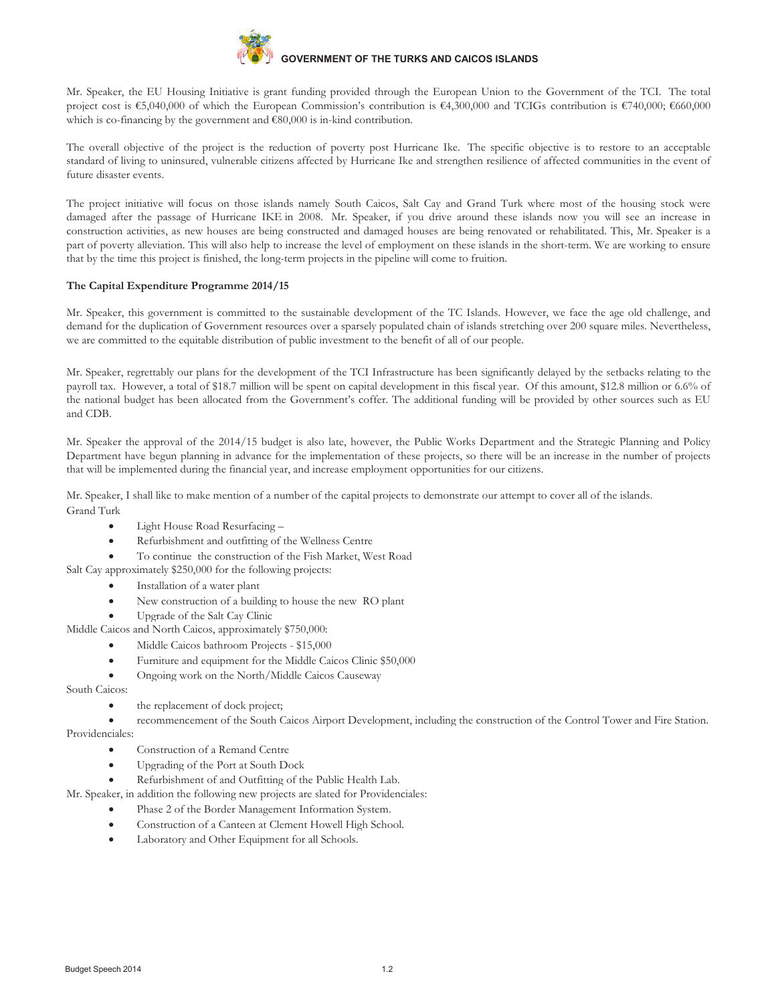

Mr. Speaker, the EU Housing Initiative is grant funding provided through the European Union to the Government of the TCI. The total project cost is €5,040,000 of which the European Commission's contribution is €4,300,000 and TCIGs contribution is €740,000; €660,000 which is co-financing by the government and €80,000 is in-kind contribution.

The overall objective of the project is the reduction of poverty post Hurricane Ike. The specific objective is to restore to an acceptable standard of living to uninsured, vulnerable citizens affected by Hurricane Ike and strengthen resilience of affected communities in the event of future disaster events.

The project initiative will focus on those islands namely South Caicos, Salt Cay and Grand Turk where most of the housing stock were damaged after the passage of Hurricane IKE in 2008. Mr. Speaker, if you drive around these islands now you will see an increase in construction activities, as new houses are being constructed and damaged houses are being renovated or rehabilitated. This, Mr. Speaker is a part of poverty alleviation. This will also help to increase the level of employment on these islands in the short-term. We are working to ensure that by the time this project is finished, the long-term projects in the pipeline will come to fruition.

# **The Capital Expenditure Programme 2014/15**

Mr. Speaker, this government is committed to the sustainable development of the TC Islands. However, we face the age old challenge, and demand for the duplication of Government resources over a sparsely populated chain of islands stretching over 200 square miles. Nevertheless, we are committed to the equitable distribution of public investment to the benefit of all of our people.

Mr. Speaker, regrettably our plans for the development of the TCI Infrastructure has been significantly delayed by the setbacks relating to the payroll tax. However, a total of \$18.7 million will be spent on capital development in this fiscal year. Of this amount, \$12.8 million or 6.6% of the national budget has been allocated from the Government's coffer. The additional funding will be provided by other sources such as EU and CDB.

Mr. Speaker the approval of the 2014/15 budget is also late, however, the Public Works Department and the Strategic Planning and Policy Department have begun planning in advance for the implementation of these projects, so there will be an increase in the number of projects that will be implemented during the financial year, and increase employment opportunities for our citizens.

Mr. Speaker, I shall like to make mention of a number of the capital projects to demonstrate our attempt to cover all of the islands. Grand Turk

- · Light House Road Resurfacing –
- · Refurbishment and outfitting of the Wellness Centre
- To continue the construction of the Fish Market, West Road

Salt Cay approximately \$250,000 for the following projects:

- Installation of a water plant
- · New construction of a building to house the new RO plant
- Upgrade of the Salt Cay Clinic

Middle Caicos and North Caicos, approximately \$750,000:

- Middle Caicos bathroom Projects \$15,000
- Furniture and equipment for the Middle Caicos Clinic \$50,000
- · Ongoing work on the North/Middle Caicos Causeway

South Caicos:

the replacement of dock project;

· recommencement of the South Caicos Airport Development, including the construction of the Control Tower and Fire Station. Providenciales:

- Construction of a Remand Centre
- · Upgrading of the Port at South Dock
- Refurbishment of and Outfitting of the Public Health Lab.
- Mr. Speaker, in addition the following new projects are slated for Providenciales:
	- Phase 2 of the Border Management Information System.
		- Construction of a Canteen at Clement Howell High School.
		- Laboratory and Other Equipment for all Schools.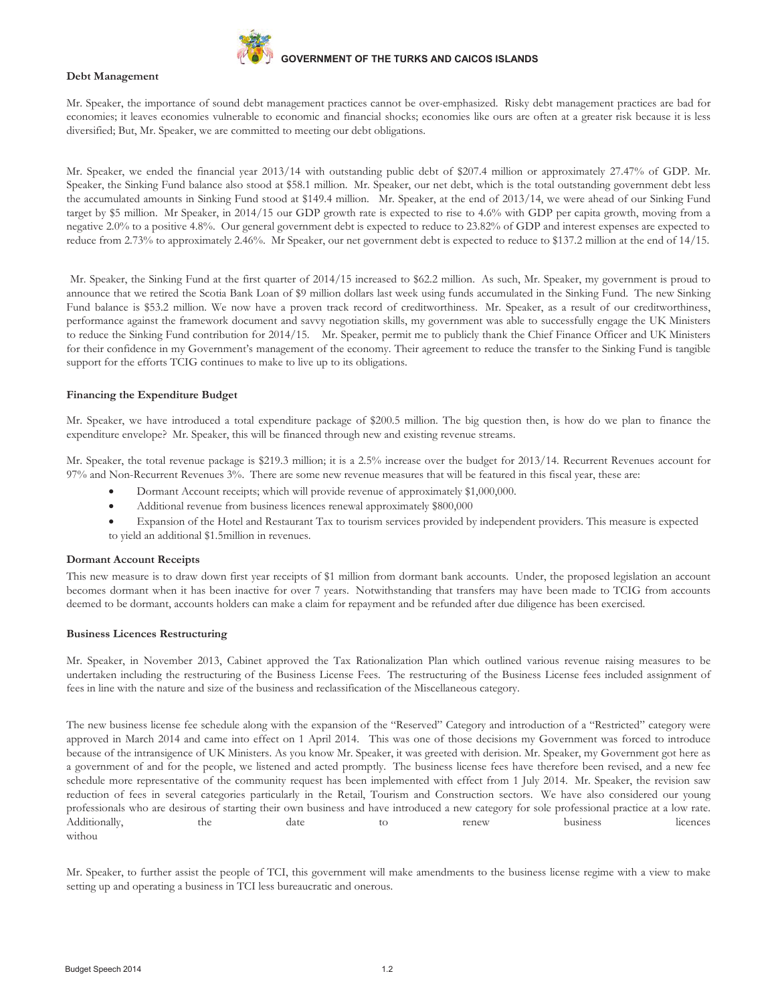

#### **Debt Management**

Mr. Speaker, the importance of sound debt management practices cannot be over-emphasized. Risky debt management practices are bad for economies; it leaves economies vulnerable to economic and financial shocks; economies like ours are often at a greater risk because it is less diversified; But, Mr. Speaker, we are committed to meeting our debt obligations.

Mr. Speaker, we ended the financial year 2013/14 with outstanding public debt of \$207.4 million or approximately 27.47% of GDP. Mr. Speaker, the Sinking Fund balance also stood at \$58.1 million. Mr. Speaker, our net debt, which is the total outstanding government debt less the accumulated amounts in Sinking Fund stood at \$149.4 million. Mr. Speaker, at the end of 2013/14, we were ahead of our Sinking Fund target by \$5 million. Mr Speaker, in 2014/15 our GDP growth rate is expected to rise to 4.6% with GDP per capita growth, moving from a negative 2.0% to a positive 4.8%. Our general government debt is expected to reduce to 23.82% of GDP and interest expenses are expected to reduce from 2.73% to approximately 2.46%. Mr Speaker, our net government debt is expected to reduce to \$137.2 million at the end of 14/15.

Mr. Speaker, the Sinking Fund at the first quarter of 2014/15 increased to \$62.2 million. As such, Mr. Speaker, my government is proud to announce that we retired the Scotia Bank Loan of \$9 million dollars last week using funds accumulated in the Sinking Fund. The new Sinking Fund balance is \$53.2 million. We now have a proven track record of creditworthiness. Mr. Speaker, as a result of our creditworthiness, performance against the framework document and savvy negotiation skills, my government was able to successfully engage the UK Ministers to reduce the Sinking Fund contribution for 2014/15. Mr. Speaker, permit me to publicly thank the Chief Finance Officer and UK Ministers for their confidence in my Government's management of the economy. Their agreement to reduce the transfer to the Sinking Fund is tangible support for the efforts TCIG continues to make to live up to its obligations.

#### **Financing the Expenditure Budget**

Mr. Speaker, we have introduced a total expenditure package of \$200.5 million. The big question then, is how do we plan to finance the expenditure envelope? Mr. Speaker, this will be financed through new and existing revenue streams.

Mr. Speaker, the total revenue package is \$219.3 million; it is a 2.5% increase over the budget for 2013/14. Recurrent Revenues account for 97% and Non-Recurrent Revenues 3%. There are some new revenue measures that will be featured in this fiscal year, these are:

- Dormant Account receipts; which will provide revenue of approximately \$1,000,000.
- Additional revenue from business licences renewal approximately \$800,000
- · Expansion of the Hotel and Restaurant Tax to tourism services provided by independent providers. This measure is expected to yield an additional \$1.5million in revenues.

#### **Dormant Account Receipts**

This new measure is to draw down first year receipts of \$1 million from dormant bank accounts. Under, the proposed legislation an account becomes dormant when it has been inactive for over 7 years. Notwithstanding that transfers may have been made to TCIG from accounts deemed to be dormant, accounts holders can make a claim for repayment and be refunded after due diligence has been exercised.

#### **Business Licences Restructuring**

Mr. Speaker, in November 2013, Cabinet approved the Tax Rationalization Plan which outlined various revenue raising measures to be undertaken including the restructuring of the Business License Fees. The restructuring of the Business License fees included assignment of fees in line with the nature and size of the business and reclassification of the Miscellaneous category.

The new business license fee schedule along with the expansion of the "Reserved" Category and introduction of a "Restricted" category were approved in March 2014 and came into effect on 1 April 2014. This was one of those decisions my Government was forced to introduce because of the intransigence of UK Ministers. As you know Mr. Speaker, it was greeted with derision. Mr. Speaker, my Government got here as a government of and for the people, we listened and acted promptly. The business license fees have therefore been revised, and a new fee schedule more representative of the community request has been implemented with effect from 1 July 2014. Mr. Speaker, the revision saw reduction of fees in several categories particularly in the Retail, Tourism and Construction sectors. We have also considered our young professionals who are desirous of starting their own business and have introduced a new category for sole professional practice at a low rate. Additionally, the date to renew business licences withou

Mr. Speaker, to further assist the people of TCI, this government will make amendments to the business license regime with a view to make setting up and operating a business in TCI less bureaucratic and onerous.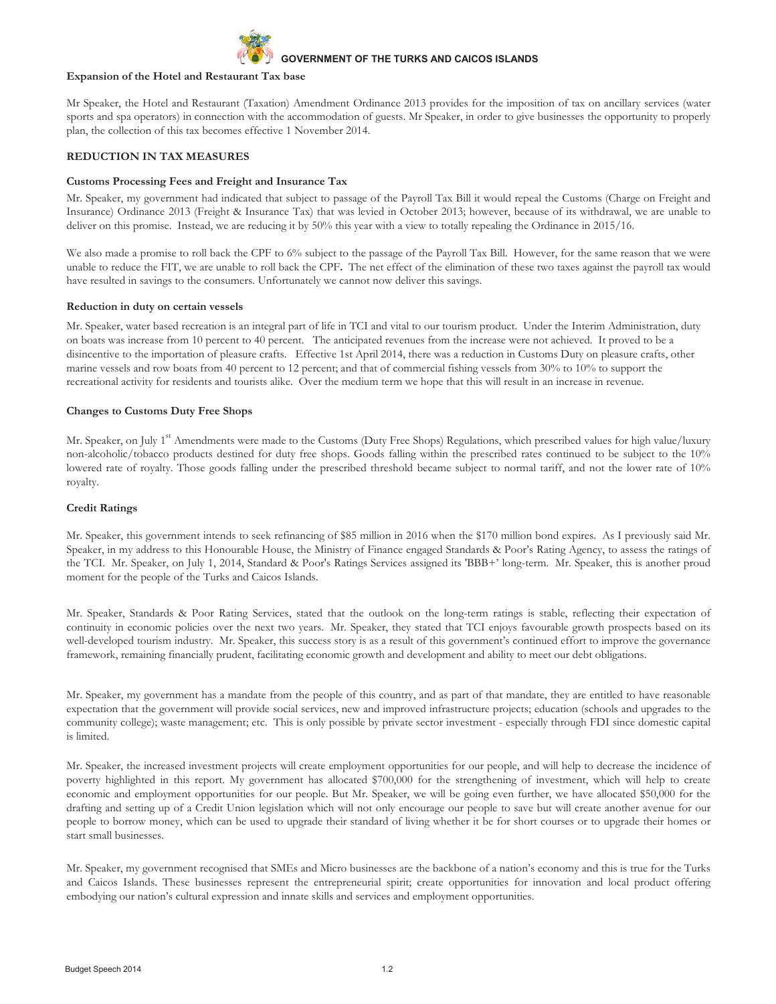

#### **Expansion of the Hotel and Restaurant Tax base**

Mr Speaker, the Hotel and Restaurant (Taxation) Amendment Ordinance 2013 provides for the imposition of tax on ancillary services (water sports and spa operators) in connection with the accommodation of guests. Mr Speaker, in order to give businesses the opportunity to properly plan, the collection of this tax becomes effective 1 November 2014.

# **REDUCTION IN TAX MEASURES**

#### **Customs Processing Fees and Freight and Insurance Tax**

Mr. Speaker, my government had indicated that subject to passage of the Payroll Tax Bill it would repeal the Customs (Charge on Freight and Insurance) Ordinance 2013 (Freight & Insurance Tax) that was levied in October 2013; however, because of its withdrawal, we are unable to deliver on this promise. Instead, we are reducing it by 50% this year with a view to totally repealing the Ordinance in 2015/16.

We also made a promise to roll back the CPF to 6% subject to the passage of the Payroll Tax Bill. However, for the same reason that we were unable to reduce the FIT, we are unable to roll back the CPF**.** The net effect of the elimination of these two taxes against the payroll tax would have resulted in savings to the consumers. Unfortunately we cannot now deliver this savings.

#### **Reduction in duty on certain vessels**

Mr. Speaker, water based recreation is an integral part of life in TCI and vital to our tourism product. Under the Interim Administration, duty on boats was increase from 10 percent to 40 percent. The anticipated revenues from the increase were not achieved. It proved to be a disincentive to the importation of pleasure crafts. Effective 1st April 2014, there was a reduction in Customs Duty on pleasure crafts, other marine vessels and row boats from 40 percent to 12 percent; and that of commercial fishing vessels from 30% to 10% to support the recreational activity for residents and tourists alike. Over the medium term we hope that this will result in an increase in revenue.

#### **Changes to Customs Duty Free Shops**

Mr. Speaker, on July 1<sup>st</sup> Amendments were made to the Customs (Duty Free Shops) Regulations, which prescribed values for high value/luxury non-alcoholic/tobacco products destined for duty free shops. Goods falling within the prescribed rates continued to be subject to the 10% lowered rate of royalty. Those goods falling under the prescribed threshold became subject to normal tariff, and not the lower rate of 10% royalty.

#### **Credit Ratings**

Mr. Speaker, this government intends to seek refinancing of \$85 million in 2016 when the \$170 million bond expires. As I previously said Mr. Speaker, in my address to this Honourable House, the Ministry of Finance engaged Standards & Poor's Rating Agency, to assess the ratings of the TCI. Mr. Speaker, on July 1, 2014, Standard & Poor's Ratings Services assigned its 'BBB+' long-term. Mr. Speaker, this is another proud moment for the people of the Turks and Caicos Islands.

Mr. Speaker, Standards & Poor Rating Services, stated that the outlook on the long-term ratings is stable, reflecting their expectation of continuity in economic policies over the next two years. Mr. Speaker, they stated that TCI enjoys favourable growth prospects based on its well-developed tourism industry. Mr. Speaker, this success story is as a result of this government's continued effort to improve the governance framework, remaining financially prudent, facilitating economic growth and development and ability to meet our debt obligations.

Mr. Speaker, my government has a mandate from the people of this country, and as part of that mandate, they are entitled to have reasonable expectation that the government will provide social services, new and improved infrastructure projects; education (schools and upgrades to the community college); waste management; etc. This is only possible by private sector investment - especially through FDI since domestic capital is limited.

Mr. Speaker, the increased investment projects will create employment opportunities for our people, and will help to decrease the incidence of poverty highlighted in this report. My government has allocated \$700,000 for the strengthening of investment, which will help to create economic and employment opportunities for our people. But Mr. Speaker, we will be going even further, we have allocated \$50,000 for the drafting and setting up of a Credit Union legislation which will not only encourage our people to save but will create another avenue for our people to borrow money, which can be used to upgrade their standard of living whether it be for short courses or to upgrade their homes or start small businesses.

Mr. Speaker, my government recognised that SMEs and Micro businesses are the backbone of a nation's economy and this is true for the Turks and Caicos Islands. These businesses represent the entrepreneurial spirit; create opportunities for innovation and local product offering embodying our nation's cultural expression and innate skills and services and employment opportunities.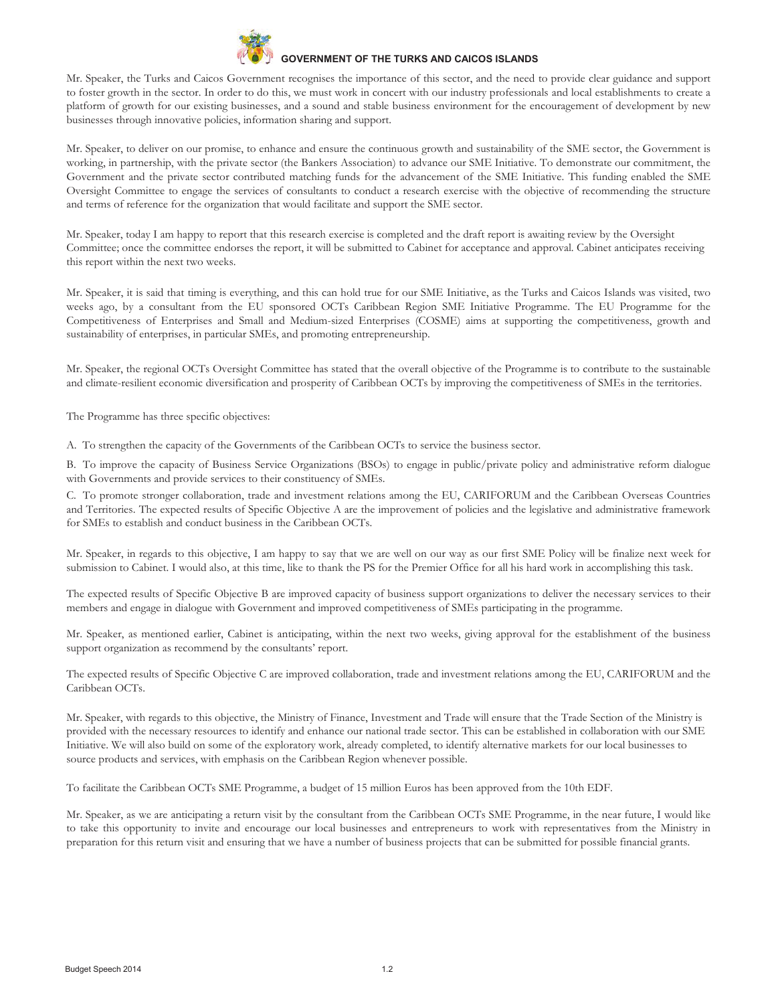

Mr. Speaker, the Turks and Caicos Government recognises the importance of this sector, and the need to provide clear guidance and support to foster growth in the sector. In order to do this, we must work in concert with our industry professionals and local establishments to create a platform of growth for our existing businesses, and a sound and stable business environment for the encouragement of development by new businesses through innovative policies, information sharing and support.

Mr. Speaker, to deliver on our promise, to enhance and ensure the continuous growth and sustainability of the SME sector, the Government is working, in partnership, with the private sector (the Bankers Association) to advance our SME Initiative. To demonstrate our commitment, the Government and the private sector contributed matching funds for the advancement of the SME Initiative. This funding enabled the SME Oversight Committee to engage the services of consultants to conduct a research exercise with the objective of recommending the structure and terms of reference for the organization that would facilitate and support the SME sector.

Mr. Speaker, today I am happy to report that this research exercise is completed and the draft report is awaiting review by the Oversight Committee; once the committee endorses the report, it will be submitted to Cabinet for acceptance and approval. Cabinet anticipates receiving this report within the next two weeks.

Mr. Speaker, it is said that timing is everything, and this can hold true for our SME Initiative, as the Turks and Caicos Islands was visited, two weeks ago, by a consultant from the EU sponsored OCTs Caribbean Region SME Initiative Programme. The EU Programme for the Competitiveness of Enterprises and Small and Medium-sized Enterprises (COSME) aims at supporting the competitiveness, growth and sustainability of enterprises, in particular SMEs, and promoting entrepreneurship.

Mr. Speaker, the regional OCTs Oversight Committee has stated that the overall objective of the Programme is to contribute to the sustainable and climate-resilient economic diversification and prosperity of Caribbean OCTs by improving the competitiveness of SMEs in the territories.

The Programme has three specific objectives:

A. To strengthen the capacity of the Governments of the Caribbean OCTs to service the business sector.

B. To improve the capacity of Business Service Organizations (BSOs) to engage in public/private policy and administrative reform dialogue with Governments and provide services to their constituency of SMEs.

C. To promote stronger collaboration, trade and investment relations among the EU, CARIFORUM and the Caribbean Overseas Countries and Territories. The expected results of Specific Objective A are the improvement of policies and the legislative and administrative framework for SMEs to establish and conduct business in the Caribbean OCTs.

Mr. Speaker, in regards to this objective, I am happy to say that we are well on our way as our first SME Policy will be finalize next week for submission to Cabinet. I would also, at this time, like to thank the PS for the Premier Office for all his hard work in accomplishing this task.

The expected results of Specific Objective B are improved capacity of business support organizations to deliver the necessary services to their members and engage in dialogue with Government and improved competitiveness of SMEs participating in the programme.

Mr. Speaker, as mentioned earlier, Cabinet is anticipating, within the next two weeks, giving approval for the establishment of the business support organization as recommend by the consultants' report.

The expected results of Specific Objective C are improved collaboration, trade and investment relations among the EU, CARIFORUM and the Caribbean OCTs.

Mr. Speaker, with regards to this objective, the Ministry of Finance, Investment and Trade will ensure that the Trade Section of the Ministry is provided with the necessary resources to identify and enhance our national trade sector. This can be established in collaboration with our SME Initiative. We will also build on some of the exploratory work, already completed, to identify alternative markets for our local businesses to source products and services, with emphasis on the Caribbean Region whenever possible.

To facilitate the Caribbean OCTs SME Programme, a budget of 15 million Euros has been approved from the 10th EDF.

Mr. Speaker, as we are anticipating a return visit by the consultant from the Caribbean OCTs SME Programme, in the near future, I would like to take this opportunity to invite and encourage our local businesses and entrepreneurs to work with representatives from the Ministry in preparation for this return visit and ensuring that we have a number of business projects that can be submitted for possible financial grants.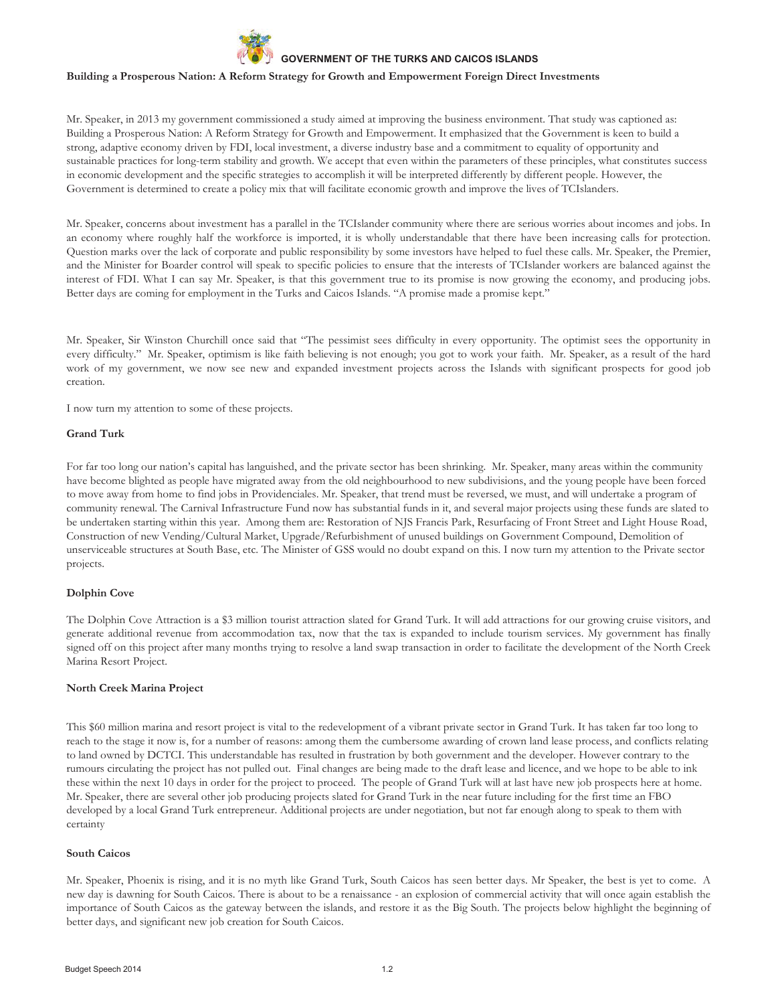

#### **Building a Prosperous Nation: A Reform Strategy for Growth and Empowerment Foreign Direct Investments**

Mr. Speaker, in 2013 my government commissioned a study aimed at improving the business environment. That study was captioned as: Building a Prosperous Nation: A Reform Strategy for Growth and Empowerment. It emphasized that the Government is keen to build a strong, adaptive economy driven by FDI, local investment, a diverse industry base and a commitment to equality of opportunity and sustainable practices for long-term stability and growth. We accept that even within the parameters of these principles, what constitutes success in economic development and the specific strategies to accomplish it will be interpreted differently by different people. However, the Government is determined to create a policy mix that will facilitate economic growth and improve the lives of TCIslanders.

Mr. Speaker, concerns about investment has a parallel in the TCIslander community where there are serious worries about incomes and jobs. In an economy where roughly half the workforce is imported, it is wholly understandable that there have been increasing calls for protection. Question marks over the lack of corporate and public responsibility by some investors have helped to fuel these calls. Mr. Speaker, the Premier, and the Minister for Boarder control will speak to specific policies to ensure that the interests of TCIslander workers are balanced against the interest of FDI. What I can say Mr. Speaker, is that this government true to its promise is now growing the economy, and producing jobs. Better days are coming for employment in the Turks and Caicos Islands. "A promise made a promise kept."

Mr. Speaker, Sir Winston Churchill once said that "The pessimist sees difficulty in every opportunity. The optimist sees the opportunity in every difficulty." Mr. Speaker, optimism is like faith believing is not enough; you got to work your faith. Mr. Speaker, as a result of the hard work of my government, we now see new and expanded investment projects across the Islands with significant prospects for good job creation.

I now turn my attention to some of these projects.

## **Grand Turk**

For far too long our nation's capital has languished, and the private sector has been shrinking. Mr. Speaker, many areas within the community have become blighted as people have migrated away from the old neighbourhood to new subdivisions, and the young people have been forced to move away from home to find jobs in Providenciales. Mr. Speaker, that trend must be reversed, we must, and will undertake a program of community renewal. The Carnival Infrastructure Fund now has substantial funds in it, and several major projects using these funds are slated to be undertaken starting within this year. Among them are: Restoration of NJS Francis Park, Resurfacing of Front Street and Light House Road, Construction of new Vending/Cultural Market, Upgrade/Refurbishment of unused buildings on Government Compound, Demolition of unserviceable structures at South Base, etc. The Minister of GSS would no doubt expand on this. I now turn my attention to the Private sector projects.

#### **Dolphin Cove**

The Dolphin Cove Attraction is a \$3 million tourist attraction slated for Grand Turk. It will add attractions for our growing cruise visitors, and generate additional revenue from accommodation tax, now that the tax is expanded to include tourism services. My government has finally signed off on this project after many months trying to resolve a land swap transaction in order to facilitate the development of the North Creek Marina Resort Project.

#### **North Creek Marina Project**

This \$60 million marina and resort project is vital to the redevelopment of a vibrant private sector in Grand Turk. It has taken far too long to reach to the stage it now is, for a number of reasons: among them the cumbersome awarding of crown land lease process, and conflicts relating to land owned by DCTCI. This understandable has resulted in frustration by both government and the developer. However contrary to the rumours circulating the project has not pulled out. Final changes are being made to the draft lease and licence, and we hope to be able to ink these within the next 10 days in order for the project to proceed. The people of Grand Turk will at last have new job prospects here at home. Mr. Speaker, there are several other job producing projects slated for Grand Turk in the near future including for the first time an FBO developed by a local Grand Turk entrepreneur. Additional projects are under negotiation, but not far enough along to speak to them with certainty

#### **South Caicos**

Mr. Speaker, Phoenix is rising, and it is no myth like Grand Turk, South Caicos has seen better days. Mr Speaker, the best is yet to come. A new day is dawning for South Caicos. There is about to be a renaissance - an explosion of commercial activity that will once again establish the importance of South Caicos as the gateway between the islands, and restore it as the Big South. The projects below highlight the beginning of better days, and significant new job creation for South Caicos.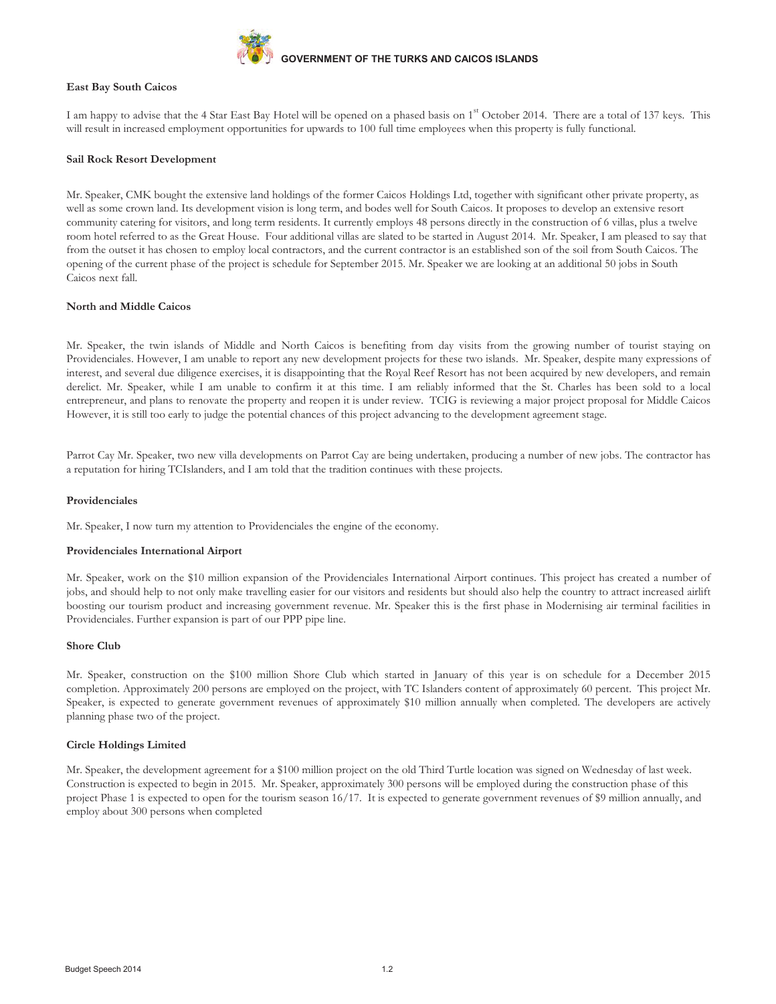

## **East Bay South Caicos**

I am happy to advise that the 4 Star East Bay Hotel will be opened on a phased basis on 1<sup>st</sup> October 2014. There are a total of 137 keys. This will result in increased employment opportunities for upwards to 100 full time employees when this property is fully functional.

# **Sail Rock Resort Development**

Mr. Speaker, CMK bought the extensive land holdings of the former Caicos Holdings Ltd, together with significant other private property, as well as some crown land. Its development vision is long term, and bodes well for South Caicos. It proposes to develop an extensive resort community catering for visitors, and long term residents. It currently employs 48 persons directly in the construction of 6 villas, plus a twelve room hotel referred to as the Great House. Four additional villas are slated to be started in August 2014. Mr. Speaker, I am pleased to say that from the outset it has chosen to employ local contractors, and the current contractor is an established son of the soil from South Caicos. The opening of the current phase of the project is schedule for September 2015. Mr. Speaker we are looking at an additional 50 jobs in South Caicos next fall.

#### **North and Middle Caicos**

Mr. Speaker, the twin islands of Middle and North Caicos is benefiting from day visits from the growing number of tourist staying on Providenciales. However, I am unable to report any new development projects for these two islands. Mr. Speaker, despite many expressions of interest, and several due diligence exercises, it is disappointing that the Royal Reef Resort has not been acquired by new developers, and remain derelict. Mr. Speaker, while I am unable to confirm it at this time. I am reliably informed that the St. Charles has been sold to a local entrepreneur, and plans to renovate the property and reopen it is under review. TCIG is reviewing a major project proposal for Middle Caicos However, it is still too early to judge the potential chances of this project advancing to the development agreement stage.

Parrot Cay Mr. Speaker, two new villa developments on Parrot Cay are being undertaken, producing a number of new jobs. The contractor has a reputation for hiring TCIslanders, and I am told that the tradition continues with these projects.

#### **Providenciales**

Mr. Speaker, I now turn my attention to Providenciales the engine of the economy.

#### **Providenciales International Airport**

Mr. Speaker, work on the \$10 million expansion of the Providenciales International Airport continues. This project has created a number of jobs, and should help to not only make travelling easier for our visitors and residents but should also help the country to attract increased airlift boosting our tourism product and increasing government revenue. Mr. Speaker this is the first phase in Modernising air terminal facilities in Providenciales. Further expansion is part of our PPP pipe line.

#### **Shore Club**

Mr. Speaker, construction on the \$100 million Shore Club which started in January of this year is on schedule for a December 2015 completion. Approximately 200 persons are employed on the project, with TC Islanders content of approximately 60 percent. This project Mr. Speaker, is expected to generate government revenues of approximately \$10 million annually when completed. The developers are actively planning phase two of the project.

#### **Circle Holdings Limited**

Mr. Speaker, the development agreement for a \$100 million project on the old Third Turtle location was signed on Wednesday of last week. Construction is expected to begin in 2015. Mr. Speaker, approximately 300 persons will be employed during the construction phase of this project Phase 1 is expected to open for the tourism season 16/17. It is expected to generate government revenues of \$9 million annually, and employ about 300 persons when completed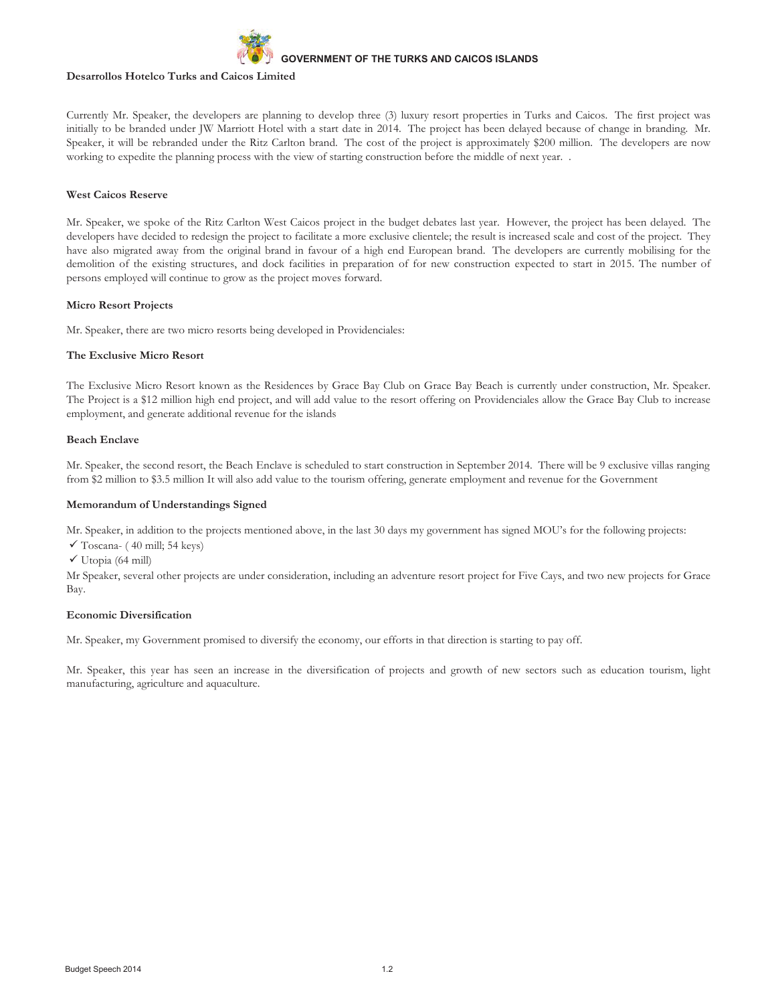

#### **Desarrollos Hotelco Turks and Caicos Limited**

Currently Mr. Speaker, the developers are planning to develop three (3) luxury resort properties in Turks and Caicos. The first project was initially to be branded under JW Marriott Hotel with a start date in 2014. The project has been delayed because of change in branding. Mr. Speaker, it will be rebranded under the Ritz Carlton brand. The cost of the project is approximately \$200 million. The developers are now working to expedite the planning process with the view of starting construction before the middle of next year.

#### **West Caicos Reserve**

Mr. Speaker, we spoke of the Ritz Carlton West Caicos project in the budget debates last year. However, the project has been delayed. The developers have decided to redesign the project to facilitate a more exclusive clientele; the result is increased scale and cost of the project. They have also migrated away from the original brand in favour of a high end European brand. The developers are currently mobilising for the demolition of the existing structures, and dock facilities in preparation of for new construction expected to start in 2015. The number of persons employed will continue to grow as the project moves forward.

# **Micro Resort Projects**

Mr. Speaker, there are two micro resorts being developed in Providenciales:

# **The Exclusive Micro Resort**

The Exclusive Micro Resort known as the Residences by Grace Bay Club on Grace Bay Beach is currently under construction, Mr. Speaker. The Project is a \$12 million high end project, and will add value to the resort offering on Providenciales allow the Grace Bay Club to increase employment, and generate additional revenue for the islands

# **Beach Enclave**

Mr. Speaker, the second resort, the Beach Enclave is scheduled to start construction in September 2014. There will be 9 exclusive villas ranging from \$2 million to \$3.5 million It will also add value to the tourism offering, generate employment and revenue for the Government

## **Memorandum of Understandings Signed**

Mr. Speaker, in addition to the projects mentioned above, in the last 30 days my government has signed MOU's for the following projects:

- $\checkmark$  Toscana- (40 mill; 54 keys)
- $\checkmark$  Utopia (64 mill)

Mr Speaker, several other projects are under consideration, including an adventure resort project for Five Cays, and two new projects for Grace Bay.

#### **Economic Diversification**

Mr. Speaker, my Government promised to diversify the economy, our efforts in that direction is starting to pay off.

Mr. Speaker, this year has seen an increase in the diversification of projects and growth of new sectors such as education tourism, light manufacturing, agriculture and aquaculture.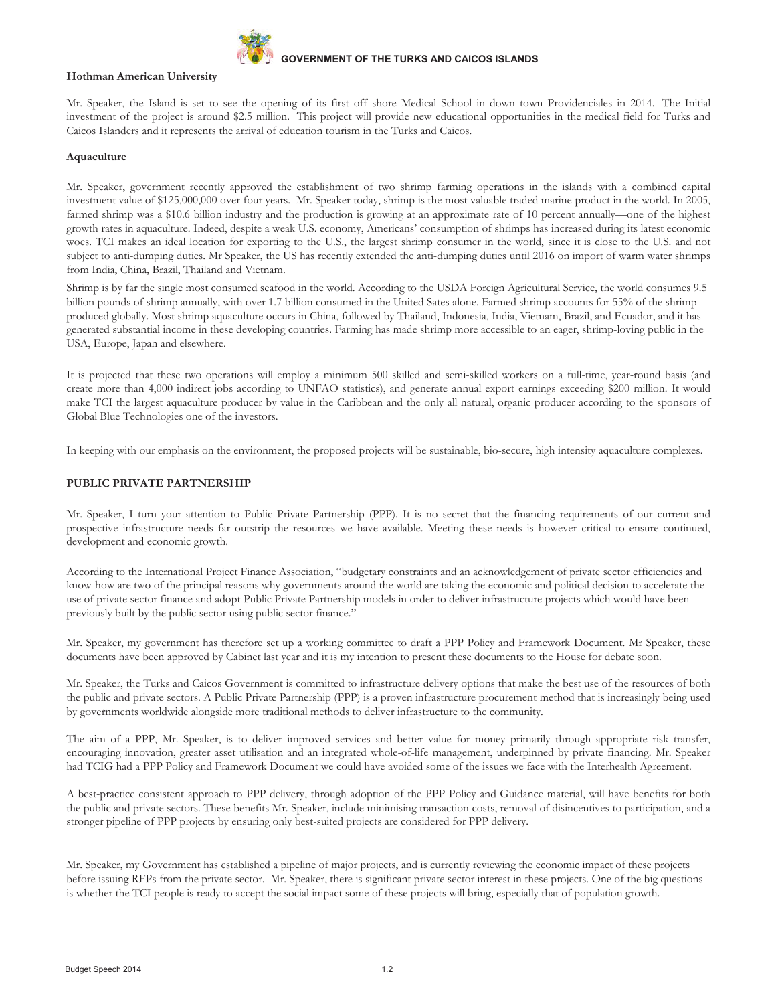

#### **Hothman American University**

Mr. Speaker, the Island is set to see the opening of its first off shore Medical School in down town Providenciales in 2014. The Initial investment of the project is around \$2.5 million. This project will provide new educational opportunities in the medical field for Turks and Caicos Islanders and it represents the arrival of education tourism in the Turks and Caicos.

#### **Aquaculture**

Mr. Speaker, government recently approved the establishment of two shrimp farming operations in the islands with a combined capital investment value of \$125,000,000 over four years. Mr. Speaker today, shrimp is the most valuable traded marine product in the world. In 2005, farmed shrimp was a \$10.6 billion industry and the production is growing at an approximate rate of 10 percent annually—one of the highest growth rates in aquaculture. Indeed, despite a weak U.S. economy, Americans' consumption of shrimps has increased during its latest economic woes. TCI makes an ideal location for exporting to the U.S., the largest shrimp consumer in the world, since it is close to the U.S. and not subject to anti-dumping duties. Mr Speaker, the US has recently extended the anti-dumping duties until 2016 on import of warm water shrimps from India, China, Brazil, Thailand and Vietnam.

Shrimp is by far the single most consumed seafood in the world. According to the USDA Foreign Agricultural Service, the world consumes 9.5 billion pounds of shrimp annually, with over 1.7 billion consumed in the United Sates alone. Farmed shrimp accounts for 55% of the shrimp produced globally. Most shrimp aquaculture occurs in China, followed by Thailand, Indonesia, India, Vietnam, Brazil, and Ecuador, and it has generated substantial income in these developing countries. Farming has made shrimp more accessible to an eager, shrimp-loving public in the USA, Europe, Japan and elsewhere.

It is projected that these two operations will employ a minimum 500 skilled and semi-skilled workers on a full-time, year-round basis (and create more than 4,000 indirect jobs according to UNFAO statistics), and generate annual export earnings exceeding \$200 million. It would make TCI the largest aquaculture producer by value in the Caribbean and the only all natural, organic producer according to the sponsors of Global Blue Technologies one of the investors.

In keeping with our emphasis on the environment, the proposed projects will be sustainable, bio-secure, high intensity aquaculture complexes.

#### **PUBLIC PRIVATE PARTNERSHIP**

Mr. Speaker, I turn your attention to Public Private Partnership (PPP). It is no secret that the financing requirements of our current and prospective infrastructure needs far outstrip the resources we have available. Meeting these needs is however critical to ensure continued, development and economic growth.

According to the International Project Finance Association, "budgetary constraints and an acknowledgement of private sector efficiencies and know-how are two of the principal reasons why governments around the world are taking the economic and political decision to accelerate the use of private sector finance and adopt Public Private Partnership models in order to deliver infrastructure projects which would have been previously built by the public sector using public sector finance."

Mr. Speaker, my government has therefore set up a working committee to draft a PPP Policy and Framework Document. Mr Speaker, these documents have been approved by Cabinet last year and it is my intention to present these documents to the House for debate soon.

Mr. Speaker, the Turks and Caicos Government is committed to infrastructure delivery options that make the best use of the resources of both the public and private sectors. A Public Private Partnership (PPP) is a proven infrastructure procurement method that is increasingly being used by governments worldwide alongside more traditional methods to deliver infrastructure to the community.

The aim of a PPP, Mr. Speaker, is to deliver improved services and better value for money primarily through appropriate risk transfer, encouraging innovation, greater asset utilisation and an integrated whole-of-life management, underpinned by private financing. Mr. Speaker had TCIG had a PPP Policy and Framework Document we could have avoided some of the issues we face with the Interhealth Agreement.

A best-practice consistent approach to PPP delivery, through adoption of the PPP Policy and Guidance material, will have benefits for both the public and private sectors. These benefits Mr. Speaker, include minimising transaction costs, removal of disincentives to participation, and a stronger pipeline of PPP projects by ensuring only best-suited projects are considered for PPP delivery.

Mr. Speaker, my Government has established a pipeline of major projects, and is currently reviewing the economic impact of these projects before issuing RFPs from the private sector. Mr. Speaker, there is significant private sector interest in these projects. One of the big questions is whether the TCI people is ready to accept the social impact some of these projects will bring, especially that of population growth.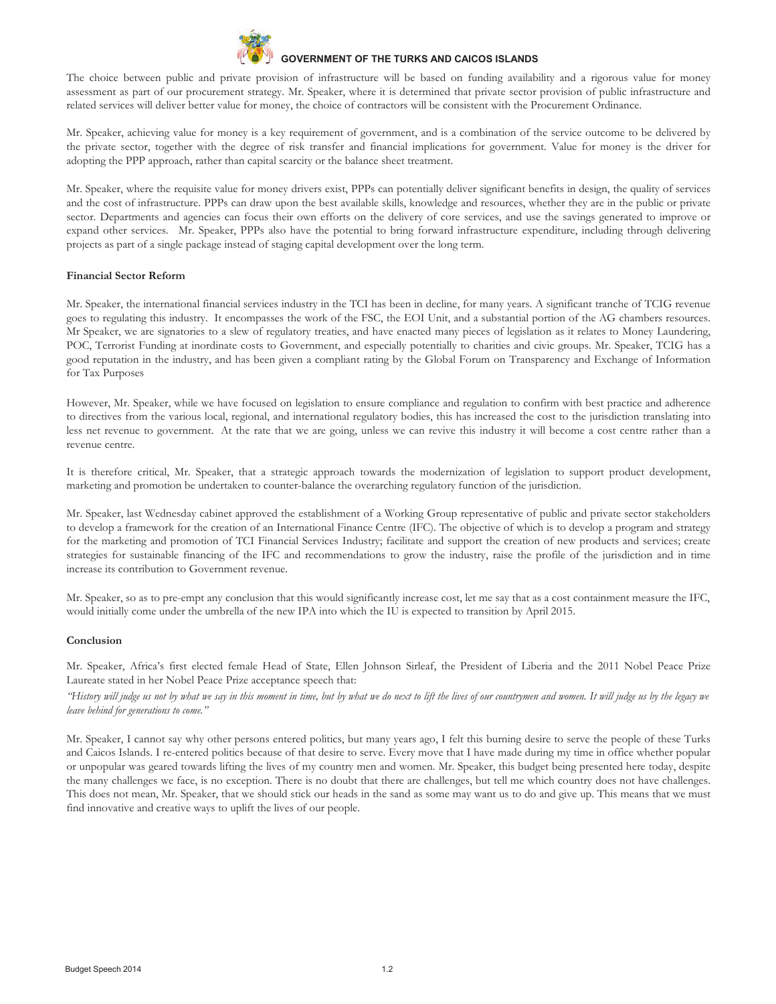

The choice between public and private provision of infrastructure will be based on funding availability and a rigorous value for money assessment as part of our procurement strategy. Mr. Speaker, where it is determined that private sector provision of public infrastructure and related services will deliver better value for money, the choice of contractors will be consistent with the Procurement Ordinance.

Mr. Speaker, achieving value for money is a key requirement of government, and is a combination of the service outcome to be delivered by the private sector, together with the degree of risk transfer and financial implications for government. Value for money is the driver for adopting the PPP approach, rather than capital scarcity or the balance sheet treatment.

Mr. Speaker, where the requisite value for money drivers exist, PPPs can potentially deliver significant benefits in design, the quality of services and the cost of infrastructure. PPPs can draw upon the best available skills, knowledge and resources, whether they are in the public or private sector. Departments and agencies can focus their own efforts on the delivery of core services, and use the savings generated to improve or expand other services. Mr. Speaker, PPPs also have the potential to bring forward infrastructure expenditure, including through delivering projects as part of a single package instead of staging capital development over the long term.

#### **Financial Sector Reform**

Mr. Speaker, the international financial services industry in the TCI has been in decline, for many years. A significant tranche of TCIG revenue goes to regulating this industry. It encompasses the work of the FSC, the EOI Unit, and a substantial portion of the AG chambers resources. Mr Speaker, we are signatories to a slew of regulatory treaties, and have enacted many pieces of legislation as it relates to Money Laundering, POC, Terrorist Funding at inordinate costs to Government, and especially potentially to charities and civic groups. Mr. Speaker, TCIG has a good reputation in the industry, and has been given a compliant rating by the Global Forum on Transparency and Exchange of Information for Tax Purposes

However, Mr. Speaker, while we have focused on legislation to ensure compliance and regulation to confirm with best practice and adherence to directives from the various local, regional, and international regulatory bodies, this has increased the cost to the jurisdiction translating into less net revenue to government. At the rate that we are going, unless we can revive this industry it will become a cost centre rather than a revenue centre.

It is therefore critical, Mr. Speaker, that a strategic approach towards the modernization of legislation to support product development, marketing and promotion be undertaken to counter-balance the overarching regulatory function of the jurisdiction.

Mr. Speaker, last Wednesday cabinet approved the establishment of a Working Group representative of public and private sector stakeholders to develop a framework for the creation of an International Finance Centre (IFC). The objective of which is to develop a program and strategy for the marketing and promotion of TCI Financial Services Industry; facilitate and support the creation of new products and services; create strategies for sustainable financing of the IFC and recommendations to grow the industry, raise the profile of the jurisdiction and in time increase its contribution to Government revenue.

Mr. Speaker, so as to pre-empt any conclusion that this would significantly increase cost, let me say that as a cost containment measure the IFC, would initially come under the umbrella of the new IPA into which the IU is expected to transition by April 2015.

#### **Conclusion**

Mr. Speaker, Africa's first elected female Head of State, Ellen Johnson Sirleaf, the President of Liberia and the 2011 Nobel Peace Prize Laureate stated in her Nobel Peace Prize acceptance speech that:

*"History will judge us not by what we say in this moment in time, but by what we do next to lift the lives of our countrymen and women. It will judge us by the legacy we leave behind for generations to come."*

Mr. Speaker, I cannot say why other persons entered politics, but many years ago, I felt this burning desire to serve the people of these Turks and Caicos Islands. I re-entered politics because of that desire to serve. Every move that I have made during my time in office whether popular or unpopular was geared towards lifting the lives of my country men and women. Mr. Speaker, this budget being presented here today, despite the many challenges we face, is no exception. There is no doubt that there are challenges, but tell me which country does not have challenges. This does not mean, Mr. Speaker, that we should stick our heads in the sand as some may want us to do and give up. This means that we must find innovative and creative ways to uplift the lives of our people.